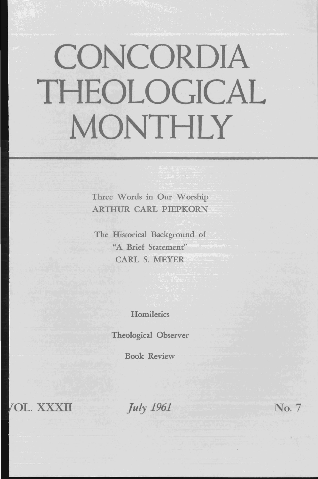# **CONCORDIA THEOLOGICAL MONTHLY**

Three Words in Our Worship ARTHUR CARL PIEPKORN

The Historical Background of "A Brief Statement" CARL S. MEYER

**Homiletics** 

Theological Observer

Book Review

OL. XXXII

*July 1961* No. 7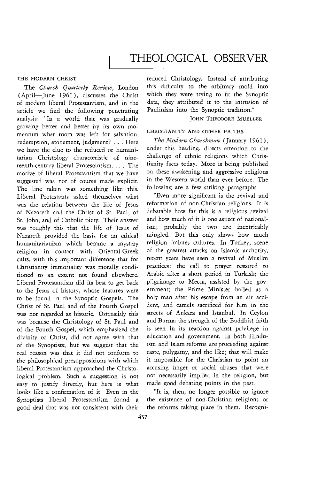# THE MODERN CHRIST

The *Church Quarterly Review,* London (April-June 1961), discusses the Christ of modern liberal Protestantism, and in the article we find the following penetrating analysis: "In a world that was gradually growing better and better by its own momentum what room was left for salvation, redemption, atonement, judgment? ... Here we have the clue to the reduced or humanitarian Christology characteristic of nineteenth-century liberal Protestantism. . . . The motive of liberal Protestantism that we have suggested was not of course made explicit. The line taken was something like this. Liberal Protestants asked themselves what was the relation between the life of Jesus of Nazareth and the Christ of St. Paul, of St. John, and of Catholic piety. Their answer was roughly this that the life of Jesus of Nazareth provided the basis for an ethical humanitarianism which became a mystery religion in contact with Oriental-Greek cults, with this important difference that for Christianity immortality was morally conditioned to an extent not found elsewhere. Liberal Protestantism did its best to get back to the Jesus of history, whose features were to be found in the Synoptic Gospels. The Christ of St. Paul and of the Fourth Gospel was not regarded as historic. Ostensibly this was because the Christology of St. Paul and of the Fourth Gospel, which emphasized the divinity of Christ, did not agree with that of the Synoptists; but we suggest that the real reason was that it did not conform to the philosophical presuppositions with which liberal Protestantism approached the Christological problem. Such a suggestion is not easy to justify directly, but here is what looks like a confirmation of it. Even in the Synoptists liberal Protestantism found a good deal that was not consistent with their reduced Christology. Instead of attributing this difficulty to the arbitrary mold into which they were trying to fit the Synoptic data, they attributed it to the intrusion of Paulinism into the Synoptic tradition."

# JOHN THEODORE MUELLER

### CHRISTIANITY AND OTHER FAITHS

*The Modern Churchman* (January 1961), under this heading, directs attention to the challenge of ethnic religions which Christianity faces today. More is being published on these awakening and aggressive religions in the Western world than ever before. The following are a few striking paragraphs.

"Even more significant is the revival and reformation of non-Christian religions. It is debatable how far this is a religious revival and how much of it is one aspect of nationalism; probably the two are inextricably mingled. But this only shows how much religion imbues cultures. In Turkey, scene of the greatest attacks on Islamic authority, recent years have seen a revival of Muslim practices: the call to prayer restored to Arabic after a short period in Turkish; the pilgrimage to Mecca, assisted by the government; the Prime Minister hailed as a holy man after his escape from an air accident, and camels sacrificed for him in the streets of Ankara and Istanbul. In Ceylon and Burma the strength of the Buddhist faith is seen in its reaction against privilege in education and government. In both Hinduism and Islam reforms are proceeding against caste, polygamy, and the like; that will make it impossible for the Christian to point an accusing finger at social abuses that were not necessarily implied in the religion, but made good debating points in the past.

"It is, then, no longer possible to ignore the existence of non-Christian religions or the reforms taking place in them. Recogni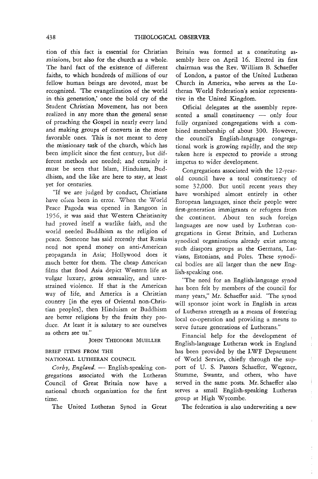tion of this fact is essential for Christian missions, but also for the church as a whole. The hard fact of the existence of different faiths, to which hundreds of millions of our fellow human beings are devoted, must be recognized. 'The evangelization of the world in this generation,' once the bold cry of the Student Christian Movement, has not been realized in any more than the general sense of preaching the Gospel in nearly every land and making groups of converts in the more favorable ones. This is not meant to deny the missionary task of the church, which has been implicit since the first century, but different methods are needed; and certainly it must be seen that Islam, Hinduism, Buddhism, and the like are here to stay, at least yet for centuries.

"If we are judged by conduct, Christians have often been in error. When the World Peace Pagoda was opened in Rangoon in 1956, it was said that Western Christianity had proved itself a warlike faith, and the world needed Buddhism as the religion of peace. Someone has said recently that Russia need not spend money on anti-American propaganda in Asia; Hollywood does it much better for them. The cheap American films that flood Asia depict Western life as vulgar luxury, gross sensuality, and unrestrained violence. If that is the American way of life, and America is a Christian country [in the eyes of Oriental non-Christian peoples], then Hinduism or Buddhism are better religions by the fruits they produce. At least it is salutary to see ourselves as others see us."

### JOHN THEODORE MUELLER

### BRIEF ITEMS FROM THE

NATIONAL LUTHERAN COUNCIL

*Corby, England.* - English-speaking congregations associated with the Lutheran Council of Great Britain now have a national church organization for the first time.

The United Lutheran Synod in Great

Britain was formed at a constituting assembly here on April 16. Elected its first chairman was the Rev. William B. Schaeffer of London, a pastor of the United Lutheran Church in America, who serves as the Lutheran World Federation's senior representative in the United Kingdom.

Official delegates at the assembly represented a small constituency  $-$  only four fully organized congregations with a combined membership of about 300. However, the council's English-language congregational work is growing rapidly, and the step taken here is expected to provide a strong impetus to wider development.

Congregations associated with the 12-yearold council have a total constituency of some 32,000. But until recent years they have worshiped almost entirely in other European languages, since their people were first-generation immigrants or refugees from the continent. About ten such foreign languages are now used by Lutheran congregations in Great Britain, and Lutheran synodical organizations already exist among such diaspora groups as the Germans, Latvians, Estonians, and Poles. These synodical bodies are all larger than the new English-speaking one.

"The need for an English-language synod has been felt by members of the council for many years," Mr. Schaeffer said. "The synod will sponsor joint work in English in areas of Lutheran strength as a means of fostering local co-operation and providing a means to serve future generations of Lutherans."

Financial help for the development of English-language Lutheran work in England has been provided by the LWF Department of World Service, chiefly through the support of U. S. Pastors Schaeffer, Wegener, Stumme, Swantz, and others, who have served in the same posts. Mr. Schaeffer also serves a small English-speaking Lutheran group at High Wycombe.

Î.

÷

ŧ

The federation is also underwriting a new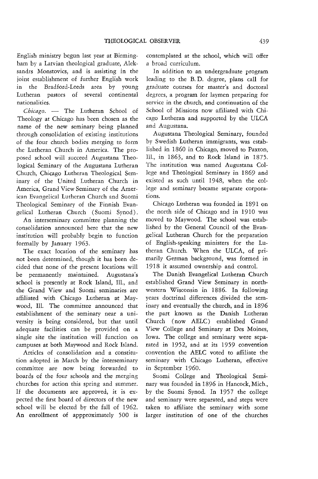English ministry begun last year at Birmingham by a Latvian theological graduate, Aleksandrs Monstovics, and is assisting in the joint establishment of further English work in the Bradford-Leeds area by young Lutheran pastors of several continental nationalities.

Chicago. - The Lutheran School of Theology at Chicago has been chosen as the name of the new seminary being planned through consolidation of existing institutions of the four church bodies merging to form the Lutheran Church in America. The proposed school will succeed Augustana Theological Seminary of the Augustana Lutheran Church, Chicago Lutheran Theological Seminary of the United Lutheran Church in America, Grand View Seminary of the American Evangelical Lutheran Church and Suomi Theological Seminary of the Finnish Evangelical Lutheran Church ( Suomi Synod) .

An interseminary committee planning the consolidation announced here that the new institution will probably begin to function formally by January 1963.

The exact location of the seminary has not been determined, though it has been decided that none of the present locations will be permanently maintained. Augustana's school is presently at Rock Island, Ill., and the Grand View and Suomi seminaries are affiliated with Chicago Lutheran at Maywood, Ill. The committee announced that establishment of the seminary near a university is being considered, but that until adequate facilities can be provided on a single site the institution will function on campuses at both Maywood and Rock Island.

Articles of consolidation and a constitution adopted in March by the interseminary committee are now being forwarded to boards of the four schools and the merging churches for action this spring and summer. If the documents are approved, it is expected the first board of directors of the new school will be elected by the fall of 1962. An enrollment of appproximately 500 is contemplated at the school, which will offer a broad curriculum.

In addition to an undergraduate program leading to the B. D. degree, plans call for graduate courses for master's and doctoral degrees, a program for laymen preparing for service in the church, and continuation of the School of Missions now affiliated with Chicago Lutheran and supported by the ULCA and Augustana.

Augustana Theological Seminary, founded by Swedish Lutheran immigrants, was established in 1860 in Chicago, moved to Paxton, Ill., in 1863, and to Rock Island in 1875. The institution was named Augustana College and Theological Seminary in 1869 and existed as such until 1948, when the college and seminary became separate corporations.

Chicago Lutheran was founded in 1891 on the north side of Chicago and in 1910 was moved to Maywood. The school was established by the General Council of the Evangelical Lutheran Church for the preparation of English-speaking ministers for the Lutheran Church. When the ULCA, of primarily German background, was formed in 1918 it assumed ownership and control.

The Danish Evangelical Lutheran Church established Grand View Seminary in northwestern Wisconsin in 1886. In following years doctrinal differences divided the seminary and eventually the church, and in 1896 the part known as the Danish Lutheran Church (now AELC) established Grand View College and Seminary at Des Moines, Iowa. The college and seminary were separated in 1952, and at its 1959 convention convention the AELC voted to affiliate the seminary with Chicago Lutheran, effective in September 1960.

Suomi College and Theological Seminary was founded in 1896 in Hancock,Mich., by the Suomi Synod. In 1957 the college and seminary were separated, and steps were taken to affiliate the seminary with some larger institution of one of the churches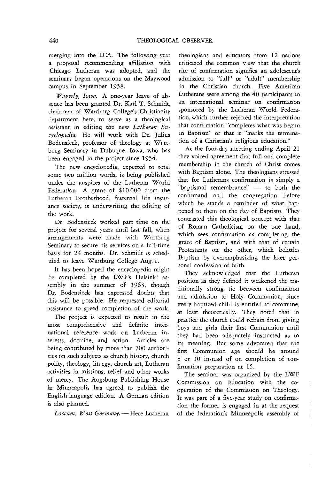merging into the LCA. The following year a proposal recommending affiliation with Chicago Lutheran was adopted, and the seminary began operations on the Maywood campus in September 1958.

*Waverly, Iowa.* A one-year leave of absence has been granted Dr. Karl T. Schmidt, chairman of Wartburg College's Christianity department here, to serve as a theological assistant in editing the new *Lutheran Encyclopedia.* He will work with Dr. Julius Bodensieck, professor of theology at Wartburg Seminary in Dubuque, Iowa, who has been engaged in the project since 1954.

The new encyclopedia, expected to total some two million words, is being published under the auspices of the Lutheran World Federation. A grant of \$10,000 from the Lutheran Brotherhood, fraternal life insurance society, is underwriting the editing of the work.

Dr. Bodensieck worked part time on the project for several years until last fall, when arrangements were made with Wartburg Seminary to secure his services on a full-time basis for 24 months. Dr. Schmidt is scheduled to leave Wartburg College Aug. 1.

It has been hoped the encyclopedia might be completed by the LWF's Helsinki assembly in the summer of 1963, though Dr. Bodensieck has expressed doubts that this will be possible. He requested editorial assistance to speed completion of the work.

The project is expected to result in the most comprehensive and definite international reference work on Lutheran interests, doctrine, and action. Articles are being contributed by more than 700 authorities on such subjects as church history, church polity, theology, liturgy, church art, Lutheran activities in missions, relief and other works of mercy. The Augsburg Publishing House in Minneapolis has agreed to publish the English-language edition. A German edition is also planned.

Loccum, West Germany. - Here Lutheran

theologians and educators from 12 nations criticized the common view that the church rite of confirmation signifies an adolescent's admission to "full" or "adult" membership in the Christian church. Five American Lutherans were among the 40 participants in an international seminar on confirmation sponsored by the Lutheran World Federation, which further rejected the interpretation that confirmation "completes what was begun in Baptism" or that it "marks the termination of a Christian's religious education."

At the four-day meeting ending April 21 they voiced agreement that full and complete membership in the church of Christ comes with Baptism alone. The theologians stressed that for Lutherans confirmation is simply a "baptismal remembrance" - to both the confirmand and the congregation before which he stands a reminder of what happened to them on the day of Baptism. They contrasted this theological concept with that of Roman Catholicism on the one hand, which sees confirmation as completing the grace of Baptism, and with that of certain Protestants on the other, which belittles Baptism by overemphasizing the later personal confession of faith.

They acknowledged that the Lutheran position as they defined it weakened the traditionally strong tie between confirmation and admission to Holy Communion, since every baptized child is entitled to commune, at least theoretically. They noted that in practice the church could refrain from giving boys and girls their first Communion until they had been adequately instructed as to its meaning. But some advocated that the first Communion age should be around 8 or 10 instead of on completion of confirmation preparation at 15.

The seminar was organized by the LWF Commission on Education with the cooperation of the Commission on Theology. It was part of a five-year study on confirmation the former *is* engaged in at the request of the federation's Minneapolis assembly of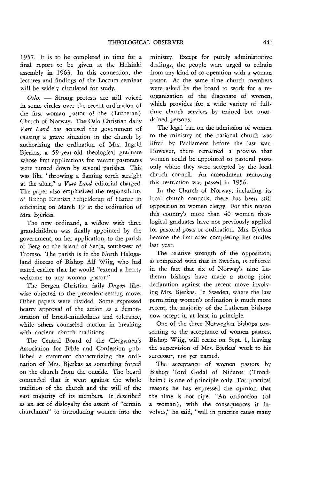1957. It is to be completed in time for a final report to be given at the Helsinki assembly in 1963. In this connection, the lectures and findings of the Loccum seminar will be widely circulated for study.

Oslo. - Strong protests are still voiced in some circles over the recent ordination of the first woman pastor of the (Lutheran) Church of Norway. The Oslo Christian daily *Vart Land* has accused the government of causing a grave situation in the church by authorizing the ordination of Mrs. Ingrid Bjerkas, a 59-year-old theological graduate whose first applications for vacant pastorates were turned down by several parishes. This was like "throwing a flaming torch straight at the altar," a *Vart Land* editorial charged. The paper also emphasized the responsibility of Bishop Kristian Schjelderup of Hamar in officiating on March 19 at the ordination of Mrs. Bjerkas.

The new ordinand, a widow with three grandchildren was finally appointed by the government, on her application, to the parish of Berg on the island of Senja, southwest of Tromso. The parish *is* in the North Halogaland diocese of Bishop Alf Wiig, who had stated earlier that he would "extend a hearty welcome to any woman pastor."

The Bergen Christian daily *Dagen* likewise objected to the precedent-setting move. Other papers were divided. Some expressed hearty approval of the action as a demonstration of broad-mindedness and tolerance, while others counseled caution in breaking with ancient church traditions.

The Central Board of the Clergymen's Association for Bible and Confession published a statement characterizing the ordination of Mrs. Bjerkas as something forced on the church from the outside. The board contended that it went against the whole tradition of the church and the will of the vast majority of its members. It described as an act of disloyalty the assent of "certain churchmen" to introducing women into the

ministry. Except for purely administrative dealings, the people were urged to refrain from any kind of co-operation with a woman pastor. At the same time church members were asked by the board to work for a reorganization of the diaconate of women, which provides for a wide variety of fulltime church services by trained but unordained persons.

The legal ban on the admission of women to the ministry of the national church was lifted by Parliament before the last war. However, there remained a proviso that women could be appointed to pastoral posts only where they were accepted by the local church council. An amendment removing this restriction was passed in 1956.

In the Church of Norway, including its local church councils, there has been stiff opposition to women clergy. For this reason this country's more than 40 women theological graduates have not previously applied for pastoral posts or ordination. Mrs. Bjerkas became the first after completing her studies last year.

The relative strength of the opposition, as compared with that in Sweden, is reflected in the fact that six of Norway's nine Lutheran bishops have made a strong joint declaration against the recent move involving Mrs. Bjerkas. In Sweden, where the law permitting women's ordination is much more recent, the majority of the Lutheran bishops now accept it, at least in principle.

One of the three Norwegian bishops consenting to the acceptance of women pastors, Bishop Wiig, will retire on Sept. 1, leaving the supervision of Mrs. Bjerkas' work to his successor, not yet named.

The acceptance of women pastors by Bishop Tord Godal of Nidaros (Trondheim) is one of principle only. For practical reasons he has expressed the opinion that the time is not ripe. "An ordination (of a woman), with the consequences it involves," he said, "will in practice cause many